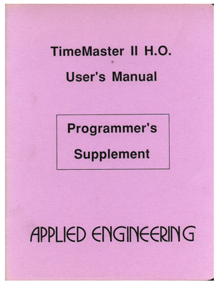## **TimeMaster II H.O. User's Manual**

**Programmer's** 

**Supplement** 

APPLIED ENGINEERING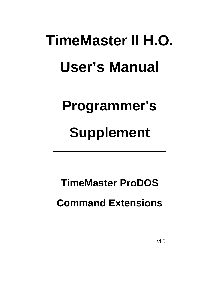# **TimeMaster II H.O. User's Manual**

**Programmer's**

**Supplement**

**TimeMaster ProDOS Command Extensions**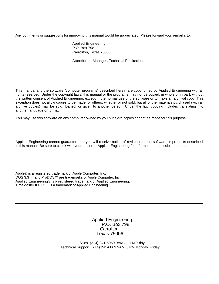Any comments or suggestions for improving this manual would be appreciated. Please forward your remarks to:

Applied Engineering P.O. Box 798 Carroliton, Texas 75006

Attention: Manager, Technical Publications

This manual and the software (computer programs) described herein are copyrighted by Applied Engineering with all rights reserved. Under the copyright laws, this manual or the programs may not be copied, in whole or in part, without the written consent of Applied Engineering, except in the normal use of the software or to make an archival copy. This exception does not allow copies to be made for others, whether or not sold, but all of the materials purchased (with all archive copies) may be sold, loaned, or given to another person. Under the law, copying includes translating into another language or format.

You may use this software on any computer owned by you but extra copies cannot be made for this purpose.

Applied Engineering cannot guarantee that you will receive notice of revisions to the software or products described in this manual. Be sure to check with your dealer or Applied Engineering for information on possible updates.

Apple® is a registered trademark of Apple Computer, Inc. DOS 3.3™, and ProDOS™ are trademarks of Apple Computer, Inc. Applied Engineering® is a registered trademark of Applied Engineering. TimeMaster II H.O.™ is a trademark of Applied Engineering.

> Applied Engineering P.O. Box 798 Carrollton, Texas 75006

Sales: (214) 241-6060 9AM - 11 PM 7 days Technical Support: (214) 241-6069 9AM 5 PM Monday Friday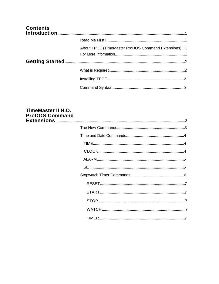| <b>Contents</b> |                                                    |  |
|-----------------|----------------------------------------------------|--|
|                 |                                                    |  |
|                 | About TPCE (TimeMaster ProDOS Command Extensions)1 |  |
|                 |                                                    |  |
|                 |                                                    |  |
|                 |                                                    |  |
|                 |                                                    |  |

### TimeMaster II H.O. **ProDOS Command**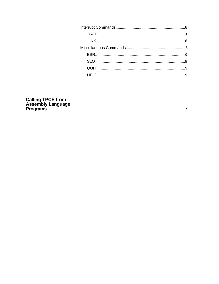| <b>Calling TPCE from</b> |  |
|--------------------------|--|
| <b>Assembly Language</b> |  |
|                          |  |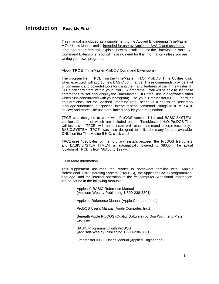<span id="page-5-0"></span>This manual is included as a supplement to the Applied Engineering TimeMaster II HO. User's Manual and is intended for use by Applesoft BASIC and assembly language programmers It explains how to install and use the TimeMaster ProDOS Command Extensions. You will have no need for this information unless you are writing your own programs.

#### About **TPCE** (TimeMaster ProDOS Command Extensions)

The program file, TPCE, on the TimeMaster II H.O. ProDOS Time Utilities disk , when executed, will add 15 new BASIC commands. These commands provide a kit of convenient and powerful tools for using the many features of the TimeMaster II HO. clock card from within your ProDOS programs. You will be able to use these commands to set and display the TimeMaster II HO. time; use a Stopwatch timer which runs concurrently with your program; use your TimeMaster II H.O., card as an alarm clock; set the desired interrupt rate; schedule a call to an assembly language subroutine at specific intervals; send command strings to a BSR X-10 device; and more. The uses are limited only by your imagination!

TPCE was designed to work with ProDOS version 1.1.1 and BASIC.SYSTEM version 1.1, both of which are included on the TimeMaster II H.O. ProDOS Time Utilities disk. TPCE will not operate with other command interpreters; only BASIC.SYSTEM TPCE was also designed to utilize the many features available ONLY on the TimeMaster II H.O. clock card.

TPCE uses 4096 bytes of memory and installs between the ProDOS file buffers and BASIC.SYSTEM HIMEM is automatically lowered to \$8600. The actual location of TPCE is from \$8A00 to \$99FF.

#### For More Information

This supplement assumes the reader is somewhat familiar with Apple's Professional Disk Operating System (ProDOS), the Applesoft BASIC programming language, and the internal operation of the //e computer. Additional information can be found in the following manuals:

> Applesoft BASIC Reference Manual (Addison-Wesley Publishing 1-800-238-3801)

Apple lle Reference Manual (Apple Computer, Inc.)

ProDOS User's Manual (Apple Computer, Inc.)

Beneath Apple ProDOS (Quality Software) by Don Worth and Pieter **Lechner** 

BASIC Programming with ProDOS (Addison-Wesley Publishing 1-800-238-3801)

TimeMaster II HO. User's Manual (Applied Engineering)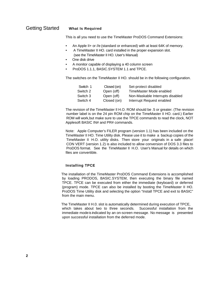#### <span id="page-6-0"></span>Getting Started **What Is Required**

This is all you need to use the TimeMaster ProDOS Command Extensions:

- An Apple II+ or //e (standard or enhanced) with at least 64K of memory.
- A TimeMaster II HO. card installed in the proper expansion slot. (see the TimeMaster II HO. User's Manual)
- One disk drive
- A monitor capable of displaying a 40 column screen
- ProDOS 1.1.1, BASIC.SYSTEM 1.1 and TPCE.

The switches on the TimeMaster II HO. should be in the following configuration.

| Switch 1 | Closed (on) | Set-protect disabled             |
|----------|-------------|----------------------------------|
| Switch 2 | Open (off)  | TimeMaster Mode enabled          |
| Switch 3 | Open (off)  | Non-Maskable Interrupts disabled |
| Switch 4 | Closed (on) | Interrupt Request enabled        |

The revision of the TimeMaster Il H.O. ROM should be .5 or greater. (The revision number label is on the 24 pin ROM chip on the TimeMaster II HO. card.) Earlier ROM will work, but make sure to use the TPCE commands to read the clock, NOT Applesoft BASIC IN# and PR# commands.

Note: Apple Computer's FILER program (version 1.1) has been included on the TimeMaster II HO. Time Utility disk. Please use it to make a backup copies of the TimeMaster II H.O. utility disks. Then store your originals in a safe place! CON VERT (version 1.2) is also included to allow conversion of DOS 3.3 files to ProDOS format. See the TimeMaster II H.O. User's Manual for details on which files are convertible.

#### **Installing TPCE**

The installation of the TimeMaster ProDOS Command Extensions is accomplished by loading PRODOS, BASIC.SYSTEM, then executing the binary file named TPCE. TPCE can be executed from either the immediate (keyboard) or deferred (program) mode. TPCE can also be installed by booting the TimeMaster II HO. ProDOS Time Utility disk and selecting the option "Install TPCE and exit to BASIC" from the main menu.

The TimeMaster II H.0. slot is automatically determined during execution of TPCE, which takes about two to three seconds. Successful installation from the immediate mode is indicated by an on-screen message. No message is presented upon successful installation from the deferred mode.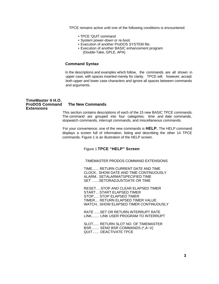<span id="page-7-0"></span>TPCE remains active until one of the following conditions is encountered:

- TPCE 'QUIT command
- System power-down or re-boot
- Execution of another ProDOS SYSTEM file.
- Execution of another BASIC enhancement program (Double-Take, GPLE, APA)

#### **Command Syntax**

In the descriptions and examples which follow, the commands are all shown in upper case, with spaces inserted merely for clarity. TPCE will, however, accept both upper and lower case characters and ignore all spaces between commands and arguments.

#### **TimeMaster II H.O. ProDOS Command The New Commands Extensions**

This section contains descriptions of each of the 15 new BASIC TPCE commands. The command are grouped into four categories; time and date commands, stopwatch commands, interrupt commands, and miscellaneous commands.

For your convenience, one of the new commands is **HELP.** The HELP command displays a screen full of information, listing and describing the other 14 TPCE commands. Figure 1 is an illustration of the HELP screen.

#### Figure 1 **TPCE "HELP" Screen**

- - TIMEMASTER PRODOS COMMAND EXTENSIONS - -

TIME....... RETURN CURRENT DATE AND TIME CLOCK.. SHOW DATE AND TIME CONTINUOUSLY ALARM.. SETALARMATSPECIFIED TIME SET .......SETORADJUSTDATE OR TIME

RESET....STOP AND CLEAR ELAPSED TIMER START....START ELAPSED TIMER STOP..... STOP ELAPSED TIMER TIMER.... RETURN ELAPSED TIMER VALUE WATCH.. SHOW ELAPSED TIMER CONTINUOUSLY

RATE ......SET OR RETURN INTERRUPT RATE LINK........ LINK USER PROGRAM TO INTERRUPT

SLOT...... RETURN SLOT NO. OF TIMEMASTER BSR........ SEND BSR COMMANDS (\*,A~V) QUIT....... DEACTIVATE TPCE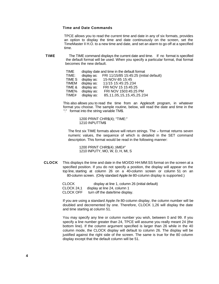#### <span id="page-8-0"></span>**Time and Date Commands**

TPCE allows you to read the current time and date in any of six formats, provides an option to display the time and date continuously on the screen, set the TimeMaster II H.O. to a new time and date, and set an alarm to go off at a specified time.

**TIME** The TIME command displays the current date and time. If no format is specified the default format will be used. When you specify a particular format, that format becomes the new default.

| TIME         |             | display date and time in the default format |
|--------------|-------------|---------------------------------------------|
| TIME:        | display as: | FRI 11/15/85 15:45:25 (initial default)     |
| TIME S       | display as: | 15-NOV-85 15:45                             |
| <b>TIMEM</b> | display as: | 11/15 15:45:25.234                          |
| TIME &       | display as: | FRI NOV 15 15:45:25                         |
| TIME%        | display as: | FRI NOV 1503:45:25 PM                       |
| TIME#        | display as: | 85, 11, 05, 15, 15, 45, 25. 234             |

This also allows you to read the time from an Applesoft program, in whatever format you choose. The sample routine, below, will read the date and time in the ":" format into the string variable TM\$.

> 1200 PRINT CHR\$(4); "TIME:" 1210 INPUTTM\$

The first six TIME formats above will return strings. The  $*$  format returns seven numeric values, the sequence of which is detailed in the SET command description. This format would be read in the following manner:

1200 PRINT CHR\$(4) ;IiME#" 1210 INPUTY, MO, W, D, H, MI, S

**CLOCK** This displays the time and date in the MO/DD HH:MM:SS format on the screen at a specified position. If you do not specify a position, the display will appear on the top line, starting at column 26 on a 40-column screen or column 51 on an 80-column screen. (Only standard Apple *lie* 80-column display is supported.)

> CLOCK display at line 1, column 26 (initial default) CLOCK 24,1 display at line 24, column 1 CLOCK OFF turn off the date/time display.

If you are using a standard Apple //e 80-column display, the column number will be doubled and decremented by one. Therefore, CLOCK 1,26 will display the date and time starting at column 51.

You may specify any line or column number you wish, between 0 and 99. If you specify a line number greater than 24, TPCE will assume you really meant 24 (the bottom line). If the column argument specified is larger than 26 while in the 40 column mode, the CLOCK display will default to column 26. The display will be justified against the right side of the screen. The same is true for the 80 column display except that the default column will be 51.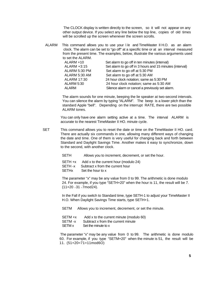The CLOCK display is written directly to the screen, so it will not appear on any other output device. If you select any line below the top line, copies of old times will be scrolled up the screen whenever the screen scrolls.

<span id="page-9-0"></span>ALARM This command allows you to use your l /e and TimeMaster II H.O. as an alarm clock. The alarm can be set to "go off" at a specific time or at an interval measured from the present time. The examples, below, illustrate the various arguments used to set the ALARM.

| ALARM +10     | Set alarm to go off in ten minutes (interval)            |
|---------------|----------------------------------------------------------|
|               |                                                          |
| ALARM +3:15   | Set alarm to go off in 3 hours and 15 minutes (interval) |
| ALARM 5:30 PM | Set alarm to go off at 5:30 PM                           |
| ALARM 5:30 AM | Set alarm to go off at 5:30 AM                           |
| ALARM 17:30   | 24 hour clock notation; same as 5:30 PM                  |
| ALARM 5:30    | 24 hour clock notation; same as 5:30 AM                  |
| ALARM         | Silence alarm or cancel a previously set alarm.          |
|               |                                                          |

The alarm sounds for one minute, beeping the lie speaker at two-second intervals. You can silence the alarm by typing "ALARM". The beep is a lower pitch than the standard Apple "bell". Depending on the interrupt RATE, there are two possible ALARM tones.

You can only have one alarm setting active at a time. The interval ALARM is accurate to the nearest TimeMaster II HO. minute cycle.

SET This command allows you to reset the date or time on the TimeMaster II HO. card. There are actually six commands in one, allowing many different ways of changing the date and time. One of them is very useful for changing back and forth between Standard and Daylight Savings Time. Another makes it easy to synchronize, down to the second, with another clock.

SETH Allows you to increment, decrement, or set the hour.

SETH +x Add x to the current hour (modulo 24)

SETH -x Subtract x from the current hour

SETHx Set the hour to x

The parameter "x" may be any value from 0 to 99. The arithmetic is done modulo 24. For example, if you type "SETH+20" when the hour is 11, the result will be 7.  $(11+20=31=7mod24)$ .

In the Fall if you switch to Standard time, type SETH-1 to adjust your TimeMaster II H.O. When Daylight Savings Time starts, type SETH+1.

SETM Allows you to increment, decrement, or set the minute.

SETM +x Add x to the current minute (modulo 60)

SETM -x Subtract x from the current minute

SETM x Set the minute to x

The parameter "x" may be any value from 0 to 99. The arithmetic is done modulo 60. For example, if you type "SETM+20" when the minute is 51, the result will be 11. (51+20=71=11mod6O)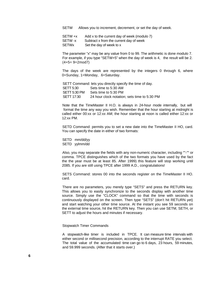<span id="page-10-0"></span>SETW Allows you to increment, decrement, or set the day of week.

SETW +x Add x to the current day of week (modulo 7) SETW -x Subtract x from the current day of week SETWx Set the day of week to x

The parameter "x" may be any value from 0 to 99. The arithmetic is done modulo 7. For example, if you type "SETW+5" when the day of week is 4, the result will be 2. (4+5= 9=2mod7)

The days of the week are represented by the integers 0 through 6, where 0=Sunday, 1=Monday, ... 6=Saturday.

 SETT Command: lets you directly specify the time of day. SETT 5:30 Sets time to 5:30 AM SETT 5:30 PM Sets time to 5:30 PM SETT 17:30 24 hour clock notation; sets time to 5:30 PM

Note that the TimeMaster II H.O. is always in 24-hour mode internally, but will format the time any way you wish. Remember that the hour starting at midnight is called either 00:xx or 12:xx AM; the hour starting at noon is called either 12:xx or 12:xx PM.

SETD Command: permits you to set a new date into the TimeMaster II HO, card. You can specify the date in either of two formats:

SETD mm/dd/yy SETD yylmm/dd

Also, you may separate the fields with any non-numeric character, including ""-"" or comma. TPCE distinguishes which of the two formats you have used by the fact the the year must be at least 85. After 1999) this feature will stop working until 2085. If you are still using TPCE after 1999 A.D., congratulations!

SETS Command: stores 00 into the seconds register on the TimeMaster II HO. card.

There are no parameters, you merely type "SETS" and press the RETURN key. This allows you to easily synchronize to the seconds display with another time source. Simply use the "CLOCK" command so that the time with seconds is continuously displayed on the screen. Then type "SETS" (don't hit RETURN yet) and start watching your other time source. At the instant you see 59 seconds on the external time source, hit the RETURN key. Then you can use SETM, SETH, or SETT to adjust the hours and minutes if necessary.

Stopwatch Timer Commands

A stopwatch-like timer is included in TPCE. It can measure time intervals with either second or millisecond precision, according to the interrupt RATE you select. The total value of the accumulated time can go to 6 days, 23 hours, 59 minutes, and 59.999 seconds. (After that it starts over.)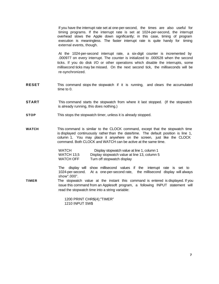<span id="page-11-0"></span>If you have the interrupt rate set at one-per-second, the times are also useful for timing programs. If the interrupt rate is set at 1024-per-second, the interrupt overhead slows the Apple down significantly; in this case, timing of program execution is meaningless. The faster interrupt rate is quite handy for timing external events, though.

At the 1024-per-second interrupt rate, a six-digit counter is incremented by .000977 on every interrupt. The counter is initialized to .000528 when the second ticks. If you do disk I/O or other operations which disable the interrupts, some millisecond ticks may be missed. On the next second tick, the milliseconds will be re-synchronized.

- **RESET** This command stops the stopwatch if it is running, and clears the accumulated time to 0.
- **START** This command starts the stopwatch from where it last stopped. (If the stopwatch is already running, this does nothing.)
- **STOP** This stops the stopwatch timer, unless it is already stopped.
- **WATCH** This command is similar to the CLOCK command, except that the stopwatch time is displayed continuously rather than the date/time. The default position is line 1, column 1. You may place it anywhere on the screen, just like the CLOCK command. Both CLOCK and WATCH can be active at the same time.

| WATCH      | Display stopwatch value at line 1, column 1  |
|------------|----------------------------------------------|
| WATCH 13.5 | Display stopwatch value at line 13, column 5 |
| WATCH OFF  | Turn off stopwatch display                   |

The display will show millisecond values if the interrupt rate is set to 1024-per-second. At a one-per-second rate, the millisecond display will always show".000".

**TIMER** The stopwatch value at the instant this command is entered is displayed. If you issue this command from an Applesoft program, a following INPUT statement will read the stopwatch time into a string variable:

> 1200 PRINT CHR\$(4);"TIMER" 1210 INPUT SW\$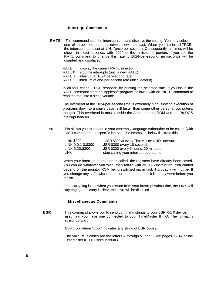#### **Interrupt Commands**

<span id="page-12-0"></span>**RATE** This command sets the interrupt rate, and displays the setting. You may select one of three interrupt rates: never, slow, and fast. When you first install TPCE, the interrupt rate is set at 1 Hz (once per second). Consequently, all times will be shown in exact seconds, with .000" for the millisecond portion. If you use the RATE command to change this rate to 1024-per-second, milliseconds will be counted and displayed.

RATE display the current RATE selection RATE 0 stop the interrupts (until a new RATE)

RATE 1 interrupt at 1024-per-second rate

RATE 2 interrupt at one-per-second rate (initial default)

In all four cases, TPCE responds by printing the selected rate. If you issue the RATE command from an Applesoft program, follow it with an INPUT command to read the rate into a string variable.

The overhead at the 1024-per-second rate is extremely high, slowing execution of programs down to a snails pace (still faster than some other personal computers, though). This overhead is mostly inside the Apple monitor ROM and the ProDOS interrupt handler.

LINK This allows you to schedule your assembly language subroutine to be called (with a JSR command) at a specific interval. The examples, below illustrate this.

| <b>LINK \$300</b>  | JSR \$300 at every TimeMaster II HO. interrupt |
|--------------------|------------------------------------------------|
| LINK 0:0:1 0,\$300 | JSR \$300 every 10 seconds                     |
| LINK 5:20,\$300    | JSR \$300 every 5 hours, 20 minutes            |
| <b>LINK</b>        | stop calling your interrupt subroutine         |

When your interrupt subroutine is called, the registers have already been saved. You can do whatever you wish, then return with an RTS instruction. You cannot depend on the monitor ROM being switched on; in fact, it probably will not be. If you change any soft-switches, be sure to put them back like they were before you return.

If the carry flag is set when you return from your interrupt subroutine, the LINK will stay engaged. If carry is clear, the LINK will be disabled.

#### **Miscellaneous Commands**

**BSR** This command allows you to send command strings to your BSR X-1 0 device, assuming you have one connected to your TimeMaster II HO. The format is straightforward:

BSR xxxx where "xxxx" indicates any string of BSR codes.

The valid BSR codes are the letters A through V, and  $\sqrt{2}$  (See pages 11-14 of the TimeMaster II HO. User's Manual.)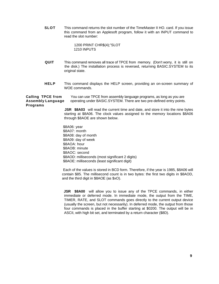<span id="page-13-0"></span>**SLOT** This command returns the slot number of the TimeMaster II HO. card. If you issue this command from an Applesoft program, follow it with an INPUT command to read the slot number:

> 1200 PRINT CHR\$(4);"SLOT 1210 INPUTS

- **QUIT** This command removes all trace of TPCE from memory. (Don't worry, it is still on the disk.) The installation process is reversed, returning BASIC.SYSTEM to its original state.
- **HELP** This command displays the HELP screen, providing an on-screen summary of WOE commands.

**Calling TPCE from** You can use TPCE from assembly language programs, as long as you are **Assembly Language** operating under BASIC.SYSTEM. There are two pre-defined entry points. **Programs**

> **JSR \$8A03** will read the current time and date, and store it into the nine bytes starting at \$8A06. The clock values assigned to the memory locations \$8A06 through \$8AOE are shown below.

\$8A06: year \$8A07: month \$8A08: day of month \$8A09: day of week \$8AOA: hour \$8AOB: minute \$8AOC: second \$8AOD: milliseconds (most significant 2 digits) \$8AOE: milliseconds (least significant digit)

Each of the values is stored in BCD form. Therefore, if the year is 1985, \$8A06 will contain \$85. The millisecond count is in two bytes: the first two digits in \$8AOD, and the third digit in \$8AOE (as \$xO).

**JSR \$8A00** will allow you to issue any of the TPCE commands, in either immediate or deferred mode. In immediate mode, the output from the TIME, TIMER, RATE, and SLOT commands goes directly to the current output device (usually the screen, but not necessarily). In deferred mode, the output from those four commands is placed in the buffer starting at \$0200. The output will be in ASCII, with high bit set, and terminated by a return character (\$8D).